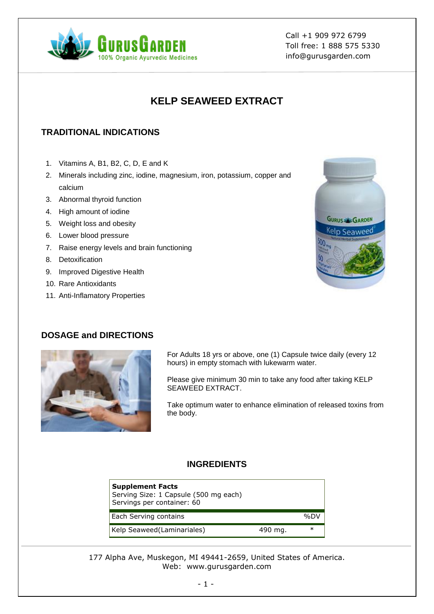

Call +1 909 972 6799 Toll free: 1 888 575 5330 info@gurusgarden.com

# **KELP SEAWEED EXTRACT**

### **TRADITIONAL INDICATIONS**

- 1. Vitamins A, B1, B2, C, D, E and K
- 2. Minerals including zinc, iodine, magnesium, iron, potassium, copper and calcium
- 3. Abnormal thyroid function
- 4. High amount of iodine
- 5. Weight loss and obesity
- 6. Lower blood pressure
- 7. Raise energy levels and brain functioning
- 8. Detoxification
- 9. Improved Digestive Health
- 10. Rare Antioxidants
- 11. Anti-Inflamatory Properties

# **GURUS & GARDEN** <sup>Kel</sup>p Seaweed

#### **DOSAGE and DIRECTIONS**



For Adults 18 yrs or above, one (1) Capsule twice daily (every 12 hours) in empty stomach with lukewarm water.

Please give minimum 30 min to take any food after taking KELP SEAWEED EXTRACT.

Take optimum water to enhance elimination of released toxins from the body.

#### **INGREDIENTS**

| <b>Supplement Facts</b><br>Serving Size: 1 Capsule (500 mg each)<br>Servings per container: 60 |         |     |
|------------------------------------------------------------------------------------------------|---------|-----|
| Each Serving contains                                                                          |         | %D\ |
| Kelp Seaweed(Laminariales)                                                                     | 490 mg. | ∗   |

177 Alpha Ave, Muskegon, MI 49441-2659, United States of America. Web: www.gurusgarden.com